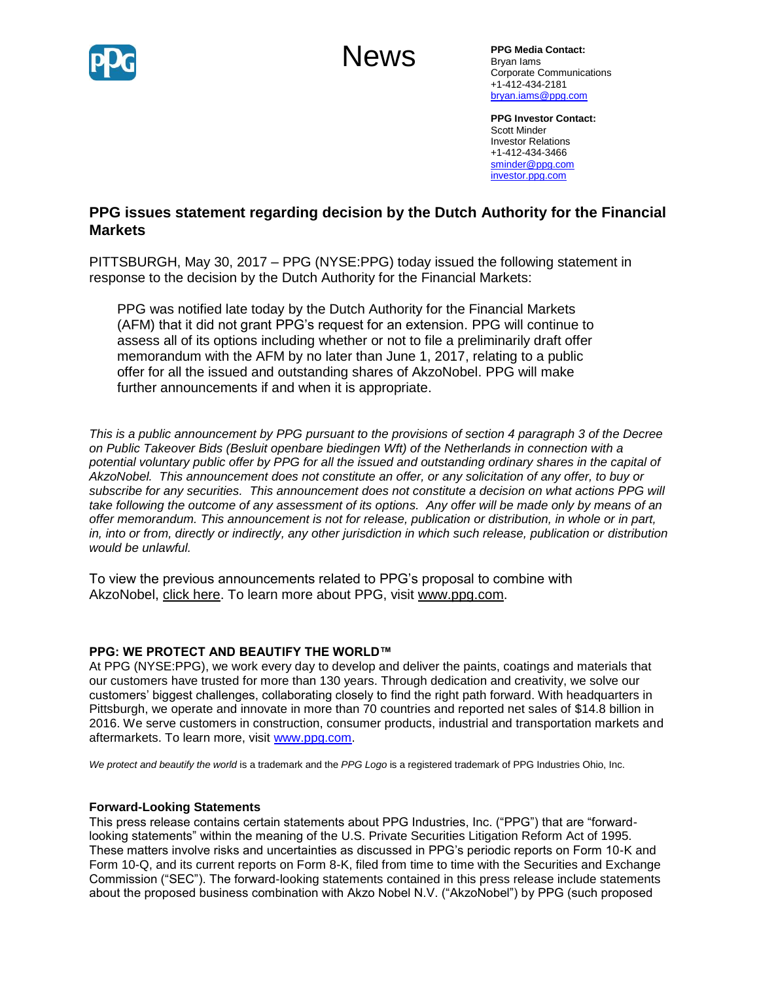

# News

**PPG Media Contact:** Bryan Iams Corporate Communications +1-412-434-2181 [bryan.iams@ppg.com](mailto:bryan.iams@ppg.com)

**PPG Investor Contact:** Scott Minder Investor Relations +1-412-434-3466 [sminder@ppg.com](mailto:sminder@ppg.com) [investor.ppg.com](http://investor.ppg.com/)

## **PPG issues statement regarding decision by the Dutch Authority for the Financial Markets**

PITTSBURGH, May 30, 2017 – PPG (NYSE:PPG) today issued the following statement in response to the decision by the Dutch Authority for the Financial Markets:

PPG was notified late today by the Dutch Authority for the Financial Markets (AFM) that it did not grant PPG's request for an extension. PPG will continue to assess all of its options including whether or not to file a preliminarily draft offer memorandum with the AFM by no later than June 1, 2017, relating to a public offer for all the issued and outstanding shares of AkzoNobel. PPG will make further announcements if and when it is appropriate.

*This is a public announcement by PPG pursuant to the provisions of section 4 paragraph 3 of the Decree on Public Takeover Bids (Besluit openbare biedingen Wft) of the Netherlands in connection with a potential voluntary public offer by PPG for all the issued and outstanding ordinary shares in the capital of AkzoNobel. This announcement does not constitute an offer, or any solicitation of any offer, to buy or subscribe for any securities. This announcement does not constitute a decision on what actions PPG will take following the outcome of any assessment of its options. Any offer will be made only by means of an offer memorandum. This announcement is not for release, publication or distribution, in whole or in part, in, into or from, directly or indirectly, any other jurisdiction in which such release, publication or distribution would be unlawful.*

To view the previous announcements related to PPG's proposal to combine with AkzoNobel, [click here.](http://cts.businesswire.com/ct/CT?id=smartlink&url=http%3A%2F%2Fnewsroom.ppg.com%2Fppgoverview&esheet=51536717&newsitemid=20170405005597&lan=en-US&anchor=click+here&index=1&md5=4fc590b55083a5a76605bd2fab66fa13) To learn more about PPG, visit [www.ppg.com.](http://cts.businesswire.com/ct/CT?id=smartlink&url=http%3A%2F%2Fwww.ppg.com&esheet=51536717&newsitemid=20170405005597&lan=en-US&anchor=www.ppg.com&index=2&md5=637cff78eb50deb2526aab4550e3bd0d)

### **PPG: WE PROTECT AND BEAUTIFY THE WORLD™**

At PPG (NYSE:PPG), we work every day to develop and deliver the paints, coatings and materials that our customers have trusted for more than 130 years. Through dedication and creativity, we solve our customers' biggest challenges, collaborating closely to find the right path forward. With headquarters in Pittsburgh, we operate and innovate in more than 70 countries and reported net sales of \$14.8 billion in 2016. We serve customers in construction, consumer products, industrial and transportation markets and aftermarkets. To learn more, visit www.ppg.com.

*We protect and beautify the world* is a trademark and the *PPG Logo* is a registered trademark of PPG Industries Ohio, Inc.

### **Forward-Looking Statements**

This press release contains certain statements about PPG Industries, Inc. ("PPG") that are "forwardlooking statements" within the meaning of the U.S. Private Securities Litigation Reform Act of 1995. These matters involve risks and uncertainties as discussed in PPG's periodic reports on Form 10-K and Form 10-Q, and its current reports on Form 8-K, filed from time to time with the Securities and Exchange Commission ("SEC"). The forward-looking statements contained in this press release include statements about the proposed business combination with Akzo Nobel N.V. ("AkzoNobel") by PPG (such proposed